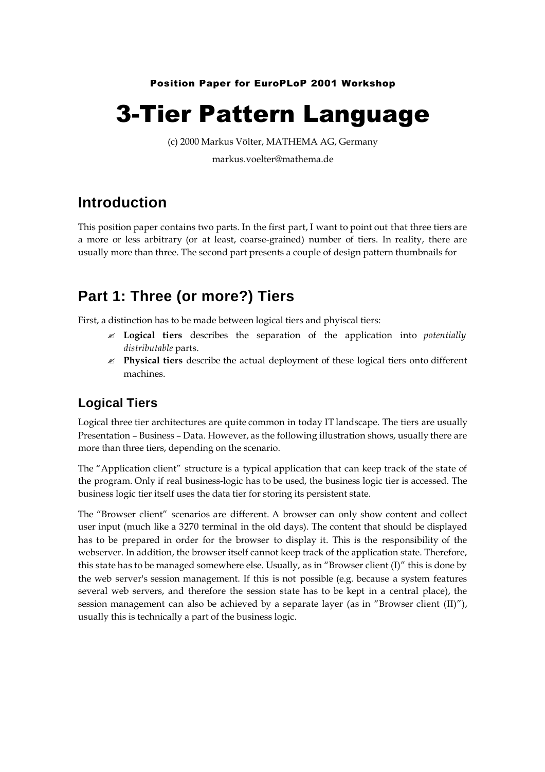Position Paper for EuroPLoP 2001 Workshop

# 3-Tier Pattern Language

(c) 2000 Markus Völter, MATHEMA AG, Germany markus.voelter@mathema.de

# **Introduction**

This position paper contains two parts. In the first part, I want to point out that three tiers are a more or less arbitrary (or at least, coarse-grained) number of tiers. In reality, there are usually more than three. The second part presents a couple of design pattern thumbnails for

# **Part 1: Three (or more?) Tiers**

First, a distinction has to be made between logical tiers and phyiscal tiers:

- ? **Logical tiers** describes the separation of the application into *potentially distributable* parts.
- ? **Physical tiers** describe the actual deployment of these logical tiers onto different machines.

### **Logical Tiers**

Logical three tier architectures are quite common in today IT landscape. The tiers are usually Presentation – Business – Data. However, as the following illustration shows, usually there are more than three tiers, depending on the scenario.

The "Application client" structure is a typical application that can keep track of the state of the program. Only if real business-logic has to be used, the business logic tier is accessed. The business logic tier itself uses the data tier for storing its persistent state.

The "Browser client" scenarios are different. A browser can only show content and collect user input (much like a 3270 terminal in the old days). The content that should be displayed has to be prepared in order for the browser to display it. This is the responsibility of the webserver. In addition, the browser itself cannot keep track of the application state. Therefore, this state has to be managed somewhere else. Usually, as in "Browser client (I)" this is done by the web server's session management. If this is not possible (e.g. because a system features several web servers, and therefore the session state has to be kept in a central place), the session management can also be achieved by a separate layer (as in "Browser client  $(II)$ "), usually this is technically a part of the business logic.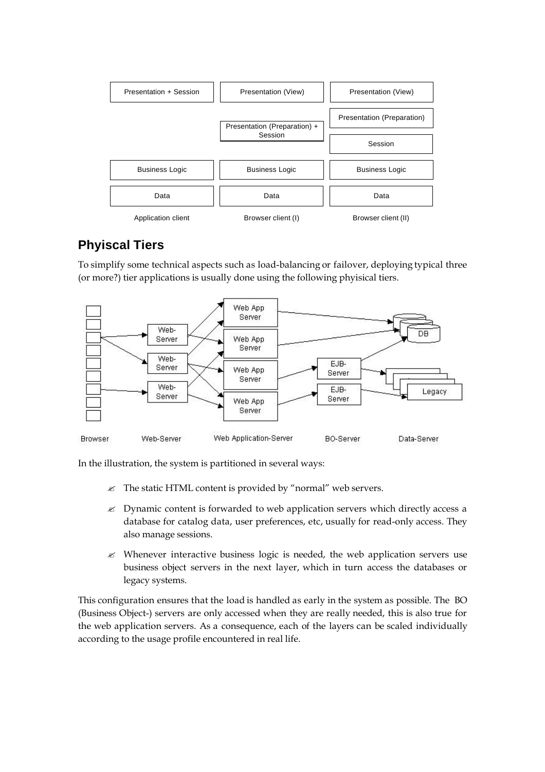

## **Phyiscal Tiers**

To simplify some technical aspects such as load-balancing or failover, deploying typical three (or more?) tier applications is usually done using the following phyisical tiers.



In the illustration, the system is partitioned in several ways:

- $\mathcal{L}$  The static HTML content is provided by "normal" web servers.
- $\&$  Dynamic content is forwarded to web application servers which directly access a database for catalog data, user preferences, etc, usually for read-only access. They also manage sessions.
- $\mathcal{L}$  Whenever interactive business logic is needed, the web application servers use business object servers in the next layer, which in turn access the databases or legacy systems.

This configuration ensures that the load is handled as early in the system as possible. The BO (Business Object-) servers are only accessed when they are really needed, this is also true for the web application servers. As a consequence, each of the layers can be scaled individually according to the usage profile encountered in real life.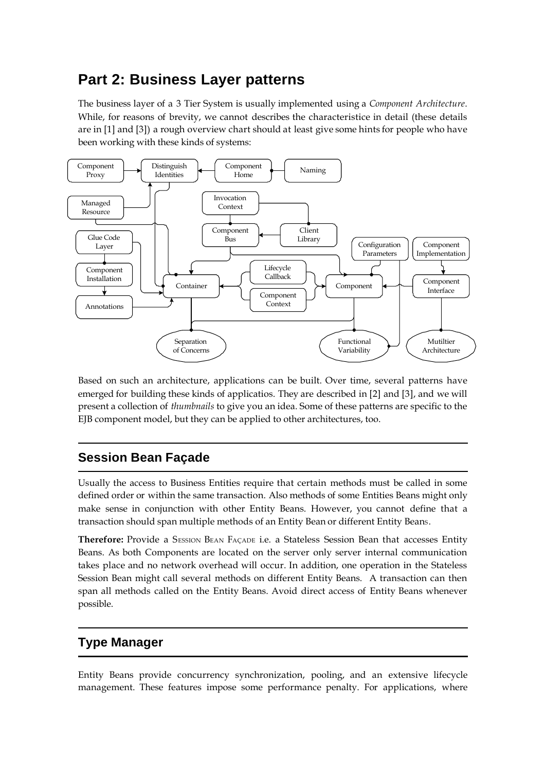# **Part 2: Business Layer patterns**

The business layer of a 3 Tier System is usually implemented using a *Component Architecture*. While, for reasons of brevity, we cannot describes the characteristice in detail (these details are in [1] and [3]) a rough overview chart should at least give some hints for people who have been working with these kinds of systems:



Based on such an architecture, applications can be built. Over time, several patterns have emerged for building these kinds of applicatios. They are described in [2] and [3], and we will present a collection of *thumbnails* to give you an idea. Some of these patterns are specific to the EJB component model, but they can be applied to other architectures, too.

### **Session Bean Façade**

Usually the access to Business Entities require that certain methods must be called in some defined order or within the same transaction. Also methods of some Entities Beans might only make sense in conjunction with other Entity Beans. However, you cannot define that a transaction should span multiple methods of an Entity Bean or different Entity BeanS.

**Therefore:** Provide a SESSION BEAN FAÇADE i.e. a Stateless Session Bean that accesses Entity Beans. As both Components are located on the server only server internal communication takes place and no network overhead will occur. In addition, one operation in the Stateless Session Bean might call several methods on different Entity Beans. A transaction can then span all methods called on the Entity Beans. Avoid direct access of Entity Beans whenever possible.

### **Type Manager**

Entity Beans provide concurrency synchronization, pooling, and an extensive lifecycle management. These features impose some performance penalty. For applications, where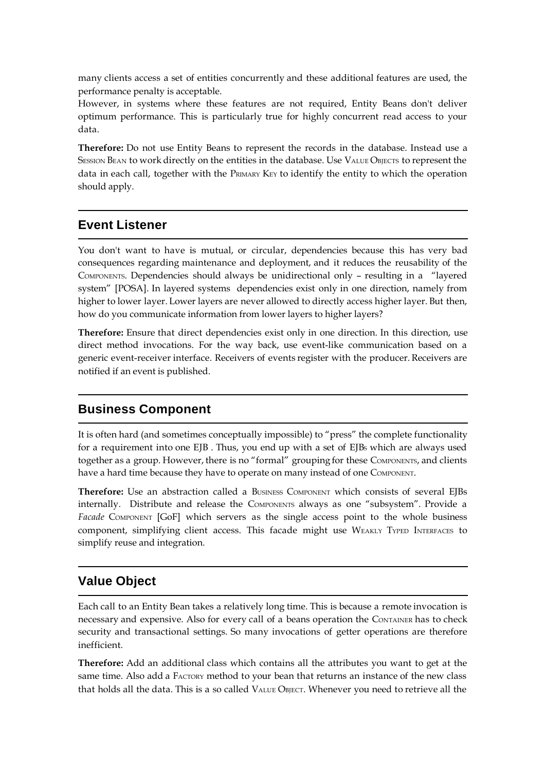many clients access a set of entities concurrently and these additional features are used, the performance penalty is acceptable.

However, in systems where these features are not required, Entity Beans don't deliver optimum performance. This is particularly true for highly concurrent read access to your data.

**Therefore:** Do not use Entity Beans to represent the records in the database. Instead use a SESSION BEAN to work directly on the entities in the database. Use VALUE OBJECTS to represent the data in each call, together with the PRIMARY KEY to identify the entity to which the operation should apply.

#### **Event Listener**

You don't want to have is mutual, or circular, dependencies because this has very bad consequences regarding maintenance and deployment, and it reduces the reusability of the COMPONENTS. Dependencies should always be unidirectional only – resulting in a "layered system" [POSA]. In layered systems dependencies exist only in one direction, namely from higher to lower layer. Lower layers are never allowed to directly access higher layer. But then, how do you communicate information from lower layers to higher layers?

**Therefore:** Ensure that direct dependencies exist only in one direction. In this direction, use direct method invocations. For the way back, use event-like communication based on a generic event-receiver interface. Receivers of events register with the producer. Receivers are notified if an event is published.

#### **Business Component**

It is often hard (and sometimes conceptually impossible) to "press" the complete functionality for a requirement into one EJB. Thus, you end up with a set of EJBs which are always used together as a group. However, there is no "formal" grouping for these COMPONENTS, and clients have a hard time because they have to operate on many instead of one COMPONENT.

**Therefore:** Use an abstraction called a BUSINESS COMPONENT which consists of several EJBs internally. Distribute and release the COMPONENTS always as one "subsystem". Provide a Facade COMPONENT [GoF] which servers as the single access point to the whole business component, simplifying client access. This facade might use WEAKLY TYPED INTERFACES to simplify reuse and integration.

### **Value Object**

Each call to an Entity Bean takes a relatively long time. This is because a remote invocation is necessary and expensive. Also for every call of a beans operation the CONTAINER has to check security and transactional settings. So many invocations of getter operations are therefore inefficient.

**Therefore:** Add an additional class which contains all the attributes you want to get at the same time. Also add a FACTORY method to your bean that returns an instance of the new class that holds all the data. This is a so called VALUE OBJECT. Whenever you need to retrieve all the